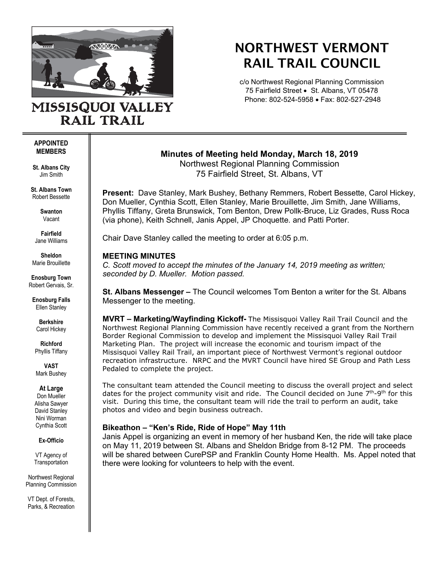

**RAIL TRAIL** 

# NORTHWEST VERMONT RAIL TRAIL COUNCIL

c/o Northwest Regional Planning Commission 75 Fairfield Street • St. Albans, VT 05478 Phone: 802-524-5958 • Fax: 802-527-2948

#### **APPOINTED MEMBERS**

**St. Albans City** Jim Smith

**St. Albans Town** Robert Bessette

> **Swanton** Vacant

**Fairfield** Jane Williams

**Sheldon** Marie Brouillette

**Enosburg Town** Robert Gervais, Sr.

**Enosburg Falls** Ellen Stanley

> **Berkshire** Carol Hickey

**Richford** Phyllis Tiffany

**VAST** Mark Bushey

## **At Large**

Don Mueller Alisha Sawyer David Stanley Nini Worman Cynthia Scott

#### **Ex-Officio**

VT Agency of **Transportation** 

Northwest Regional Planning Commission

VT Dept. of Forests, Parks, & Recreation **Minutes of Meeting held Monday, March 18, 2019** Northwest Regional Planning Commission 75 Fairfield Street, St. Albans, VT

**Present:** Dave Stanley, Mark Bushey, Bethany Remmers, Robert Bessette, Carol Hickey, Don Mueller, Cynthia Scott, Ellen Stanley, Marie Brouillette, Jim Smith, Jane Williams, Phyllis Tiffany, Greta Brunswick, Tom Benton, Drew Pollk-Bruce, Liz Grades, Russ Roca (via phone), Keith Schnell, Janis Appel, JP Choquette. and Patti Porter.

Chair Dave Stanley called the meeting to order at 6:05 p.m.

# **MEETING MINUTES**

*C. Scott moved to accept the minutes of the January 14, 2019 meeting as written; seconded by D. Mueller. Motion passed.* 

**St. Albans Messenger –** The Council welcomes Tom Benton a writer for the St. Albans Messenger to the meeting.

**MVRT – Marketing/Wayfinding Kickoff-** The Missisquoi Valley Rail Trail Council and the Northwest Regional Planning Commission have recently received a grant from the Northern Border Regional Commission to develop and implement the Missisquoi Valley Rail Trail Marketing Plan. The project will increase the economic and tourism impact of the Missisquoi Valley Rail Trail, an important piece of Northwest Vermont's regional outdoor recreation infrastructure. NRPC and the MVRT Council have hired SE Group and Path Less Pedaled to complete the project.

The consultant team attended the Council meeting to discuss the overall project and select dates for the project community visit and ride. The Council decided on June 7<sup>th</sup>-9<sup>th</sup> for this visit. During this time, the consultant team will ride the trail to perform an audit, take photos and video and begin business outreach.

# **Bikeathon – "Ken's Ride, Ride of Hope" May 11th**

Janis Appel is organizing an event in memory of her husband Ken, the ride will take place on May 11, 2019 between St. Albans and Sheldon Bridge from 8-12 PM. The proceeds will be shared between CurePSP and Franklin County Home Health. Ms. Appel noted that there were looking for volunteers to help with the event.